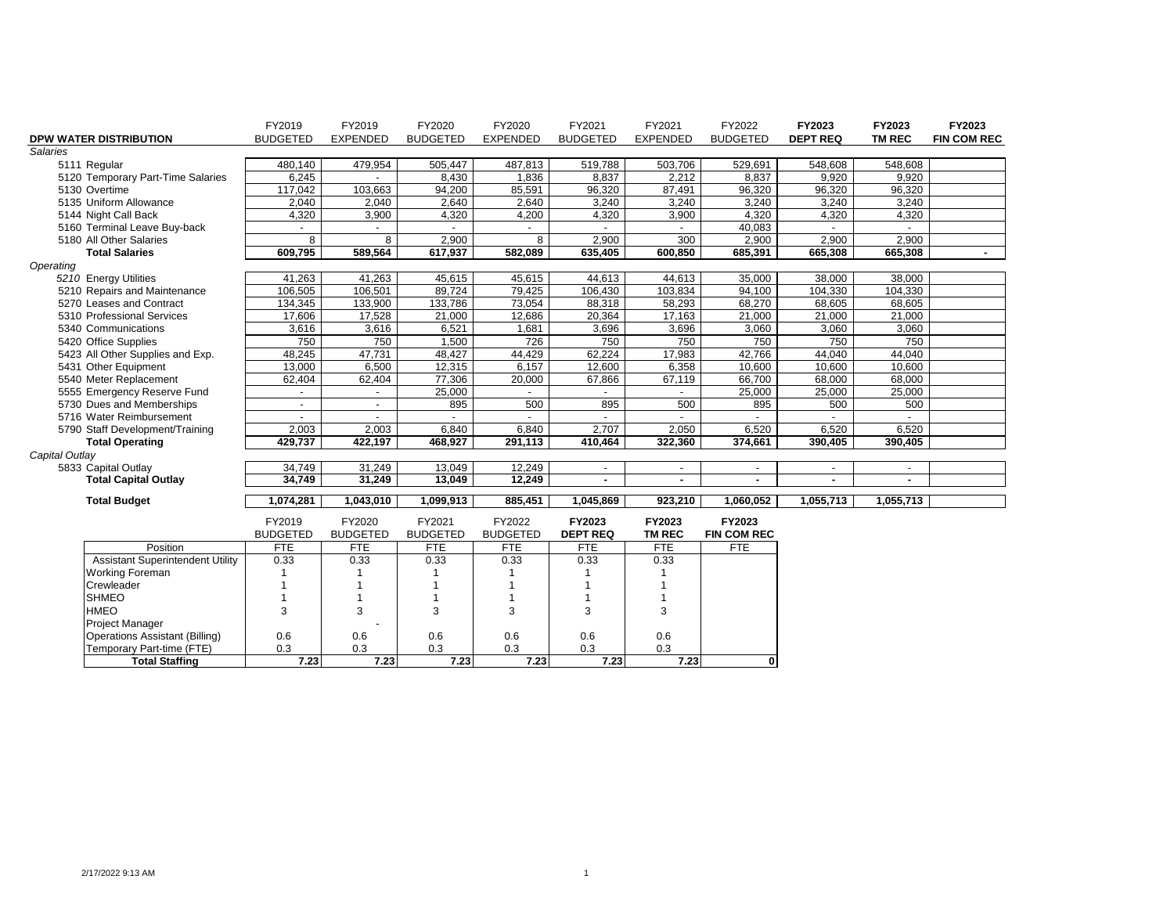|                                         | FY2019          | FY2019                   | FY2020          | FY2020          | FY2021                   | FY2021                   | FY2022             | FY2023              | FY2023         | FY2023             |
|-----------------------------------------|-----------------|--------------------------|-----------------|-----------------|--------------------------|--------------------------|--------------------|---------------------|----------------|--------------------|
| DPW WATER DISTRIBUTION                  | <b>BUDGETED</b> | <b>EXPENDED</b>          | <b>BUDGETED</b> | <b>EXPENDED</b> | <b>BUDGETED</b>          | <b>EXPENDED</b>          | <b>BUDGETED</b>    | <b>DEPT REQ</b>     | <b>TM REC</b>  | <b>FIN COM REC</b> |
| Salaries                                |                 |                          |                 |                 |                          |                          |                    |                     |                |                    |
| 5111 Regular                            | 480,140         | 479,954                  | 505,447         | 487,813         | 519,788                  | 503,706                  | 529,691            | 548,608             | 548,608        |                    |
| 5120 Temporary Part-Time Salaries       | 6,245           | $\overline{\phantom{0}}$ | 8,430           | 1,836           | 8,837                    | 2,212                    | 8,837              | 9,920               | 9,920          |                    |
| 5130 Overtime                           | 117,042         | 103,663                  | 94,200          | 85,591          | 96,320                   | 87,491                   | 96,320             | 96,320              | 96,320         |                    |
| 5135 Uniform Allowance                  | 2,040           | 2,040                    | 2,640           | 2,640           | 3,240                    | 3,240                    | 3,240              | 3,240               | 3,240          |                    |
| 5144 Night Call Back                    | 4,320           | 3,900                    | 4,320           | 4,200           | 4,320                    | 3,900                    | 4,320              | 4,320               | 4,320          |                    |
| 5160 Terminal Leave Buy-back            | $\blacksquare$  | $\blacksquare$           |                 | $\blacksquare$  |                          |                          | 40,083             |                     | $\blacksquare$ |                    |
| 5180 All Other Salaries                 | 8               | 8                        | 2,900           | 8               | 2,900                    | 300                      | 2,900              | 2,900               | 2.900          |                    |
| <b>Total Salaries</b>                   | 609,795         | 589,564                  | 617,937         | 582,089         | 635,405                  | 600,850                  | 685,391            | 665,308             | 665,308        |                    |
| Operating                               |                 |                          |                 |                 |                          |                          |                    |                     |                |                    |
| 5210 Energy Utilities                   | 41,263          | 41,263                   | 45,615          | 45,615          | 44,613                   | 44,613                   | 35,000             | 38,000              | 38,000         |                    |
| 5210 Repairs and Maintenance            | 106,505         | 106,501                  | 89,724          | 79,425          | 106,430                  | 103,834                  | 94,100             | 104,330             | 104,330        |                    |
| 5270 Leases and Contract                | 134,345         | 133,900                  | 133,786         | 73,054          | 88,318                   | 58,293                   | 68,270             | 68,605              | 68,605         |                    |
| 5310 Professional Services              | 17,606          | 17,528                   | 21,000          | 12,686          | 20,364                   | 17,163                   | 21,000             | $\overline{21,000}$ | 21,000         |                    |
| 5340 Communications                     | 3,616           | 3,616                    | 6,521           | 1,681           | 3,696                    | 3,696                    | 3,060              | 3,060               | 3,060          |                    |
| 5420 Office Supplies                    | 750             | 750                      | 1,500           | 726             | 750                      | 750                      | 750                | 750                 | 750            |                    |
| 5423 All Other Supplies and Exp.        | 48,245          | 47,731                   | 48,427          | 44,429          | 62,224                   | 17,983                   | 42,766             | 44,040              | 44,040         |                    |
| 5431 Other Equipment                    | 13,000          | 6,500                    | 12,315          | 6,157           | 12,600                   | 6,358                    | 10,600             | 10,600              | 10,600         |                    |
| 5540 Meter Replacement                  | 62,404          | 62,404                   | 77,306          | 20,000          | 67,866                   | 67,119                   | 66,700             | 68,000              | 68,000         |                    |
| 5555 Emergency Reserve Fund             | ٠               |                          | 25,000          |                 |                          |                          | 25,000             | 25,000              | 25,000         |                    |
| 5730 Dues and Memberships               | $\sim$          | $\sim$                   | 895             | 500             | 895                      | 500                      | 895                | 500                 | 500            |                    |
| 5716 Water Reimbursement                |                 |                          |                 |                 |                          |                          |                    |                     |                |                    |
| 5790 Staff Development/Training         | 2,003           | 2,003                    | 6,840           | 6,840           | 2,707                    | 2,050                    | 6,520              | 6,520               | 6,520          |                    |
| <b>Total Operating</b>                  | 429,737         | 422,197                  | 468,927         | 291,113         | 410,464                  | 322,360                  | 374,661            | 390,405             | 390,405        |                    |
| Capital Outlay                          |                 |                          |                 |                 |                          |                          |                    |                     |                |                    |
| 5833 Capital Outlay                     | 34,749          | 31,249                   | 13,049          | 12,249          | $\overline{\phantom{a}}$ | $\overline{\phantom{a}}$ |                    | $\blacksquare$      | $\blacksquare$ |                    |
| <b>Total Capital Outlay</b>             | 34,749          | 31,249                   | 13,049          | 12,249          | $\blacksquare$           | $\blacksquare$           | $\sim$             | ٠                   | $\blacksquare$ |                    |
|                                         |                 |                          |                 |                 |                          |                          |                    |                     |                |                    |
| <b>Total Budget</b>                     | 1,074,281       | 1,043,010                | 1,099,913       | 885,451         | 1,045,869                | 923,210                  | 1,060,052          | 1,055,713           | 1,055,713      |                    |
|                                         | FY2019          | FY2020                   | FY2021          | FY2022          | FY2023                   | FY2023                   | FY2023             |                     |                |                    |
|                                         | <b>BUDGETED</b> | <b>BUDGETED</b>          | <b>BUDGETED</b> | <b>BUDGETED</b> | <b>DEPT REQ</b>          | <b>TM REC</b>            | <b>FIN COM REC</b> |                     |                |                    |
| Position                                | <b>FTE</b>      | <b>FTE</b>               | <b>FTE</b>      | <b>FTE</b>      | <b>FTE</b>               | <b>FTE</b>               | <b>FTE</b>         |                     |                |                    |
| <b>Assistant Superintendent Utility</b> | 0.33            | 0.33                     | 0.33            | 0.33            | 0.33                     | 0.33                     |                    |                     |                |                    |
| <b>Working Foreman</b>                  | -1              | 1                        |                 | -1              |                          | -1                       |                    |                     |                |                    |
| Crewleader                              | 1               |                          |                 |                 |                          |                          |                    |                     |                |                    |
| <b>SHMEO</b>                            | $\overline{1}$  | 1                        |                 | $\mathbf{1}$    |                          | $\overline{1}$           |                    |                     |                |                    |
| <b>HMEO</b>                             | 3               | 3                        | 3               | 3               | 3                        | 3                        |                    |                     |                |                    |
| Project Manager                         |                 |                          |                 |                 |                          |                          |                    |                     |                |                    |
| <b>Operations Assistant (Billing)</b>   | 0.6             | 0.6                      | 0.6             | 0.6             | 0.6                      | 0.6                      |                    |                     |                |                    |
| Temporary Part-time (FTE)               | 0.3             | 0.3                      | 0.3             | 0.3             | 0.3                      | 0.3                      |                    |                     |                |                    |
| <b>Total Staffing</b>                   | 7.23            | 7.23                     | 7.23            | 7.23            | 7.23                     | 7.23                     | 0                  |                     |                |                    |
|                                         |                 |                          |                 |                 |                          |                          |                    |                     |                |                    |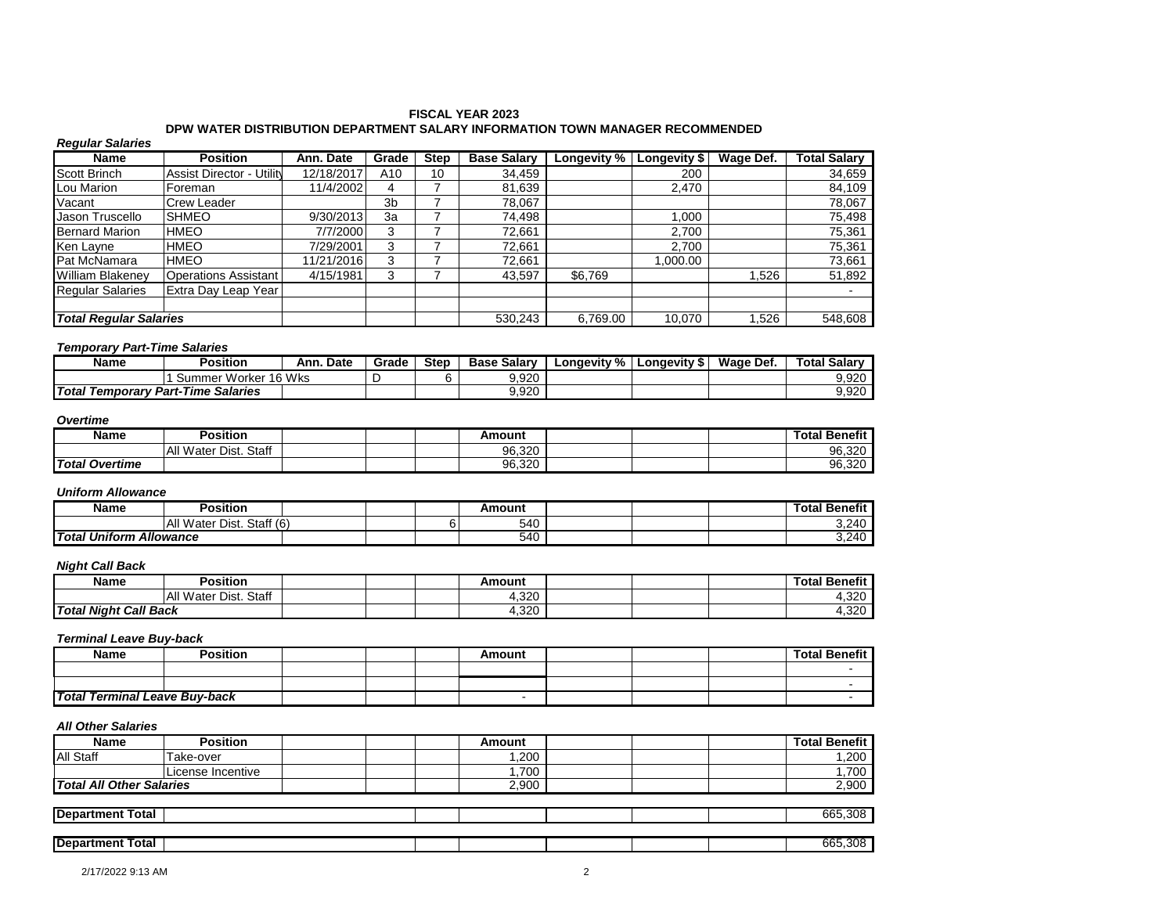#### **FISCAL YEAR 2023 DPW WATER DISTRIBUTION DEPARTMENT SALARY INFORMATION TOWN MANAGER RECOMMENDED**

| <b>Regular Salaries</b>       |                                  |            |                |             |                    |             |              |           |                     |
|-------------------------------|----------------------------------|------------|----------------|-------------|--------------------|-------------|--------------|-----------|---------------------|
| <b>Name</b>                   | <b>Position</b>                  | Ann. Date  | Grade          | <b>Step</b> | <b>Base Salary</b> | Longevity % | Longevity \$ | Wage Def. | <b>Total Salarv</b> |
| Scott Brinch                  | <b>Assist Director - Utility</b> | 12/18/2017 | A10            | 10          | 34,459             |             | 200          |           | 34,659              |
| Lou Marion                    | Foreman                          | 11/4/2002  | 4              |             | 81,639             |             | 2,470        |           | 84,109              |
| Vacant                        | Crew Leader                      |            | 3 <sub>b</sub> |             | 78,067             |             |              |           | 78,067              |
| Jason Truscello               | <b>SHMEO</b>                     | 9/30/2013  | 3a             |             | 74,498             |             | 1.000        |           | 75,498              |
| <b>Bernard Marion</b>         | <b>HMEO</b>                      | 7/7/2000   | 3              |             | 72,661             |             | 2.700        |           | 75,361              |
| Ken Layne                     | <b>HMEO</b>                      | 7/29/2001  | 3              |             | 72,661             |             | 2.700        |           | 75,361              |
| Pat McNamara                  | <b>HMEO</b>                      | 11/21/2016 | 3              |             | 72,661             |             | 1.000.00     |           | 73,661              |
| William Blakeney              | <b>Operations Assistant</b>      | 4/15/1981  | 3              |             | 43,597             | \$6,769     |              | .526      | 51,892              |
| <b>Regular Salaries</b>       | Extra Dav Leap Year              |            |                |             |                    |             |              |           |                     |
|                               |                                  |            |                |             |                    |             |              |           |                     |
| <b>Total Regular Salaries</b> |                                  |            |                |             | 530.243            | 6.769.00    | 10,070       | .526      | 548,608             |

#### *Temporary Part-Time Salaries*

| Name                   | Position             | Date<br>Ann. | Grade | <b>Step</b> | : Salary<br>Base | _onaevitv % | Lonaevitv \$ | Wage Def. | <b>Total Salarv</b> |
|------------------------|----------------------|--------------|-------|-------------|------------------|-------------|--------------|-----------|---------------------|
|                        | Summer Worker 16 Wks |              |       |             | 9.920            |             |              |           | 9,920               |
| <b>Total Temporary</b> | / Part-Time Salaries |              |       |             | 9,920            |             |              |           | 9,920               |

#### *Overtime*

| Name                  | Position                                |  | Amount |  | <b>Total Benefit</b> |
|-----------------------|-----------------------------------------|--|--------|--|----------------------|
|                       | Staff<br><b>All</b><br>Water L<br>Dist. |  | 96.320 |  | 96,320               |
| <b>Total Overtime</b> |                                         |  | 96,320 |  | 96,320               |

#### *Uniform Allowance*

| Name                    | Position                              |  | Amount |  | ' Benefit<br>Total |
|-------------------------|---------------------------------------|--|--------|--|--------------------|
|                         | Staff (6)<br> A  V <br>Dist.<br>Water |  | 540    |  | 3,240              |
| <b>Total Uniform A.</b> | <b>Allowance</b>                      |  | 540    |  | 3,240              |

### *Night Call Back*

| <b>Name</b>                            | <b>Position</b>                          |  | Amount            |  | <b>Benefit</b><br>Гotal |
|----------------------------------------|------------------------------------------|--|-------------------|--|-------------------------|
|                                        | Staff<br><b>All Water</b><br><b>Dist</b> |  | റററ<br>⊦.32U<br>∸ |  | 220<br><br>∪∠ن,+        |
| <b>Total Night</b><br><b>Call Back</b> |                                          |  | 22<br>1.32U<br>∸  |  | 220<br>4<br>r,∪∠∪       |

#### *Terminal Leave Buy-back*

| <b>Name</b>                          | Position |  | Amount |  | <b>Total Benefit</b> |
|--------------------------------------|----------|--|--------|--|----------------------|
|                                      |          |  |        |  |                      |
|                                      |          |  |        |  |                      |
| <b>Total Terminal Leave Buy-back</b> |          |  |        |  |                      |

| <b>Name</b>              | <b>Position</b>    |  | Amount |  | <b>Total Benefit</b> |
|--------------------------|--------------------|--|--------|--|----------------------|
| <b>All Staff</b>         | Take-over          |  | 1,200  |  | 1,200                |
|                          | ILicense Incentive |  | 1,700  |  | 1,700                |
| Total All Other Salaries |                    |  | 2,900  |  | 2,900                |
|                          |                    |  |        |  |                      |
| <b>Department Total</b>  |                    |  |        |  | 665,308              |
|                          |                    |  |        |  |                      |
| <b>Department Total</b>  |                    |  |        |  | 665,308              |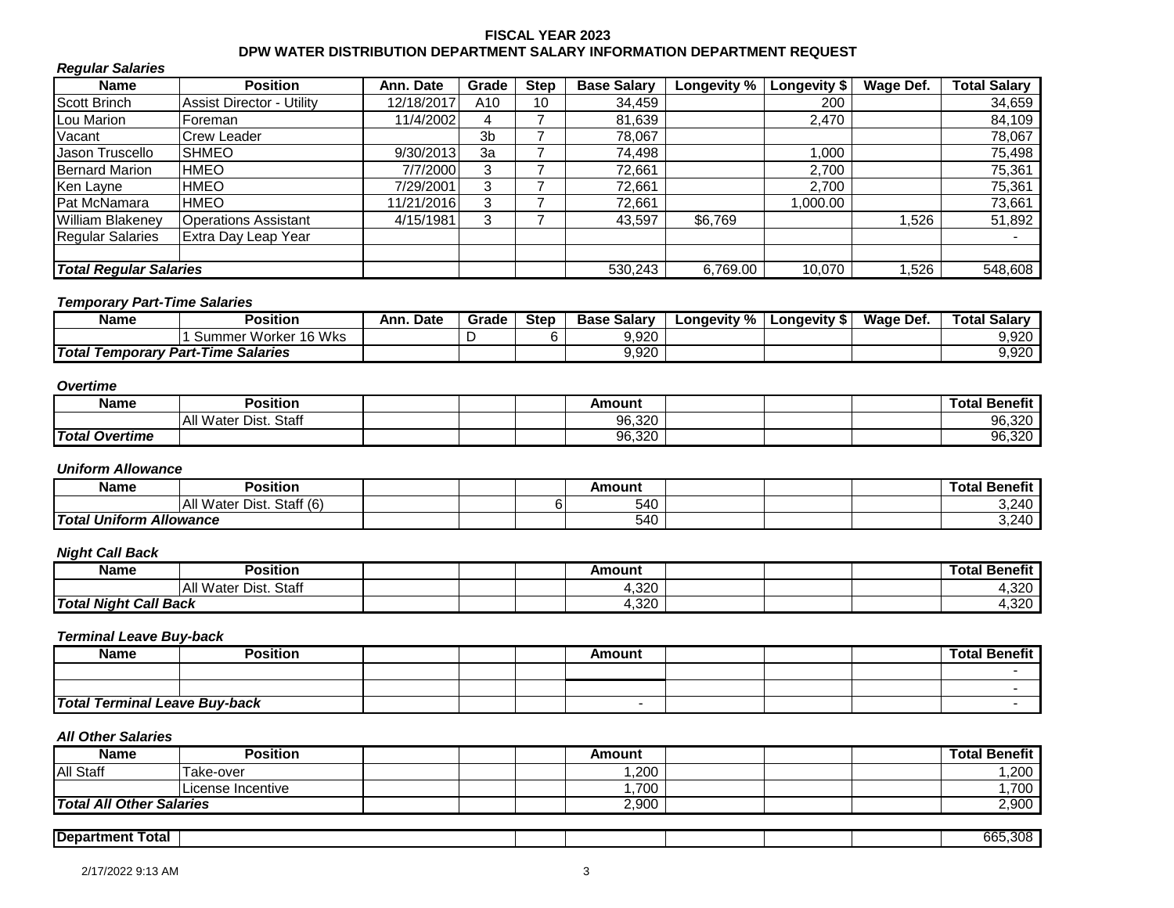# **FISCAL YEAR 2023 DPW WATER DISTRIBUTION DEPARTMENT SALARY INFORMATION DEPARTMENT REQUEST**

| <b>Name</b>                   | <b>Position</b>                  | Ann. Date   | Grade          | <b>Step</b> | <b>Base Salary</b> | Longevity % | Longevity $\sqrt{$}$ | Wage Def. | <b>Total Salary</b> |
|-------------------------------|----------------------------------|-------------|----------------|-------------|--------------------|-------------|----------------------|-----------|---------------------|
| Scott Brinch                  | <b>Assist Director - Utility</b> | 12/18/2017  | A10            | 10          | 34,459             |             | 200                  |           | 34,659              |
| Lou Marion                    | Foreman                          | 11/4/2002   | 4              |             | 81,639             |             | 2,470                |           | 84,109              |
| Vacant                        | Crew Leader                      |             | 3 <sub>b</sub> |             | 78.067             |             |                      |           | 78,067              |
| Jason Truscello               | <b>ISHMEO</b>                    | 9/30/2013   | 3a             |             | 74,498             |             | ,000                 |           | 75,498              |
| <b>Bernard Marion</b>         | <b>HMEO</b>                      | 7/7/2000    | 3              |             | 72.661             |             | 2,700                |           | 75,361              |
| Ken Layne                     | <b>HMEO</b>                      | 7/29/2001   | 3              |             | 72.661             |             | 2.700                |           | 75,361              |
| Pat McNamara                  | <b>HMEO</b>                      | 11/21/2016l | 3              |             | 72.661             |             | 1,000.00             |           | 73,661              |
| <b>William Blakeney</b>       | <b>Operations Assistant</b>      | 4/15/1981   | 3              |             | 43,597             | \$6,769     |                      | ,526      | 51,892              |
| <b>Regular Salaries</b>       | Extra Day Leap Year              |             |                |             |                    |             |                      |           |                     |
|                               |                                  |             |                |             |                    |             |                      |           |                     |
| <b>Total Regular Salaries</b> |                                  |             |                |             | 530.243            | 6,769.00    | 10,070               | .526      | 548,608             |

## *Temporary Part-Time Salaries*

| Name                                      | Position             | <b>Date</b><br>Ann. | Grade | <b>Step</b> | <b>Base Salary</b> | Longevity % | Longevity " | Wage Def. | Total Salary |
|-------------------------------------------|----------------------|---------------------|-------|-------------|--------------------|-------------|-------------|-----------|--------------|
|                                           | Summer Worker 16 Wks |                     |       |             | 9,920              |             |             |           | 9,920        |
| <b>Total Temporary Part-Time Salaries</b> |                      |                     |       |             | 9,920              |             |             |           | 9,920        |

#### *Overtime*

| Name                  | <b>Position</b>                 |  | Amount |  | .<br>Total<br><b>Benefit</b> |
|-----------------------|---------------------------------|--|--------|--|------------------------------|
|                       | Staff<br><b>All Water Dist.</b> |  | 96,320 |  | 96,320                       |
| <b>Total Overtime</b> |                                 |  | 96,320 |  | 96,320                       |

## *Uniform Allowance*

*Regular Salaries*

| Name          | Position                     |  | Amount |  | .<br>Tota.<br><b>Benefit</b> |
|---------------|------------------------------|--|--------|--|------------------------------|
|               | Staff (6)<br>All Water Dist. |  | 540    |  | 3,240                        |
| Total Uniform | a Allowance                  |  | 540    |  | 3,240                        |

# *Night Call Back*

| Name                            | Position                       |  | Amount               |  | .<br>Total<br>Benefit |
|---------------------------------|--------------------------------|--|----------------------|--|-----------------------|
|                                 | . Staff<br>' Water Dist.<br>ΑI |  | 0.00<br>I.320<br>∸   |  | 4,320                 |
| <b>Total</b><br>Night Call Back |                                |  | $\sim$<br>I.320<br>∸ |  | 1,320                 |

### *Terminal Leave Buy-back*

| Name                                 | Position |  | Amount |  | <b>Total Benefit</b> |
|--------------------------------------|----------|--|--------|--|----------------------|
|                                      |          |  |        |  |                      |
|                                      |          |  |        |  |                      |
| <b>Total Terminal Leave Buy-back</b> |          |  |        |  |                      |

| <b>Name</b>                     | Position           |  | Amount |  | <b>Benefit</b><br>Гоtal |
|---------------------------------|--------------------|--|--------|--|-------------------------|
| <b>All Staff</b>                | Take-over          |  | ,200   |  | ,200                    |
|                                 | ILicense Incentive |  | ,700   |  | ,700                    |
| <b>Total All Other Salaries</b> |                    |  | 2,900  |  | 2,900                   |

| Denar'<br>mani<br>.<br>otal<br><br>-- |  |  |  | ∍ ס∩כ<br>,,,, |
|---------------------------------------|--|--|--|---------------|
|                                       |  |  |  |               |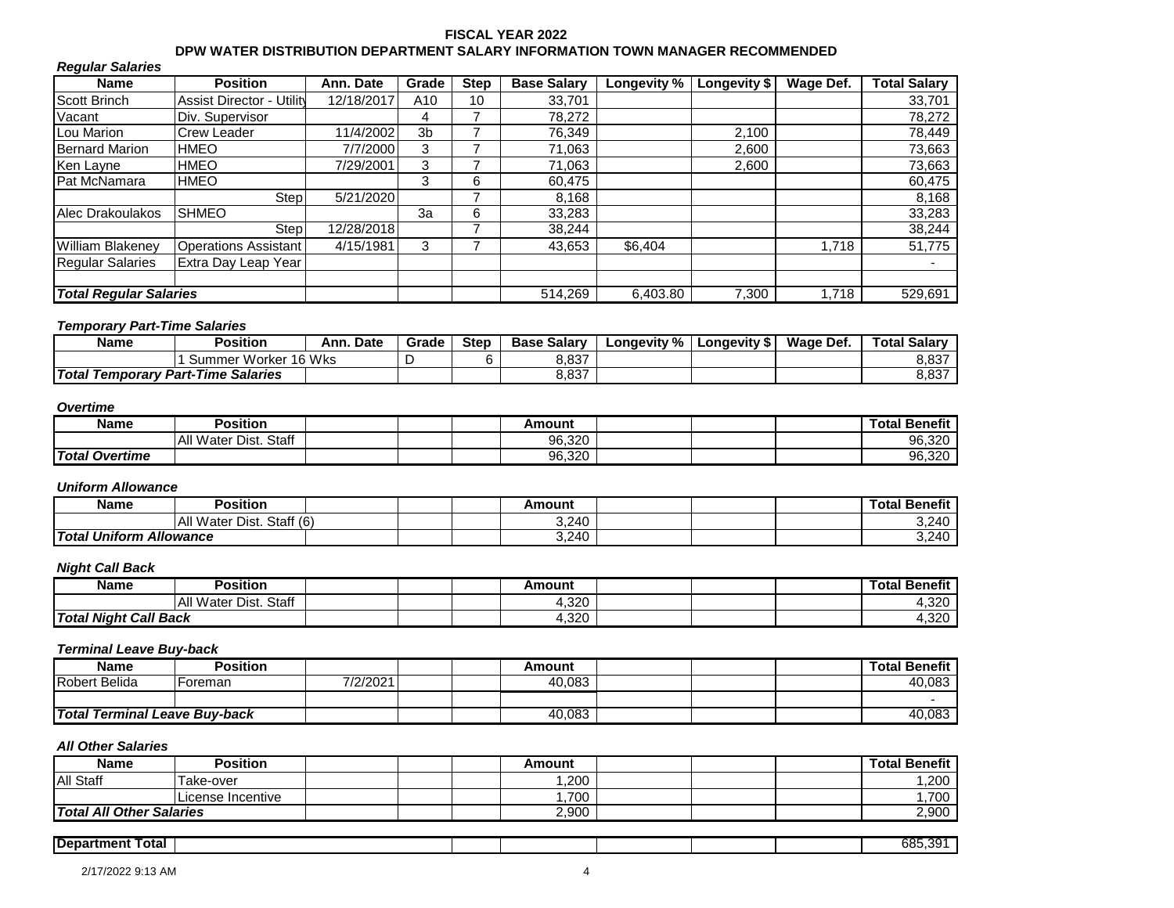### **FISCAL YEAR 2022 DPW WATER DISTRIBUTION DEPARTMENT SALARY INFORMATION TOWN MANAGER RECOMMENDED**

# *Regular Salaries* **Name Position Ann. Date Grade Step Base Salary Longevity % Longevity \$ Wage Def. Total Salary** Scott Brinch Assist Director - Utility 12/18/2017 A10 10 33,701 33,701 33,701 33,701 Vacant Div. Supervisor 4 7 78,272 78,272 Lou Marion Crew Leader 11/4/2002 3b 7 76,349 2,100 78,449 Bernard Marion HMEO 7/7/2000 3 7 71,063 2,600 73,663 Ken Layne HMEO 7/29/2001 3 7 71,063 2,600 73,663 Pat McNamara |HMEO | | 3 | 6 | 60,475 | | | | 60,475 Step 5/21/2020 | 7 | 8,168 | | | | 8,168 Alec Drakoulakos SHMEO 3a 6 33,283 33,283 33,283 33,283 33,284 33,284 33,284 33,284 33,284 33,284 33,284 33,284 Step 12/28/2018 7 | 38,244 | | | 38,244 William Blakeney Operations Assistant 4/15/1981 3 7 43,653 \$6,404 1,718 51,775 51,775 Regular Salaries Extra Day Leap Year **- Andrew Property Control** - Andrew Property Control - Andrew Property Control -*Total Regular Salaries* 514,269 6,403.80 7,300 1,718 529,691

## *Temporary Part-Time Salaries*

| Name                                      | Position             | Ann. Date | Grade | <b>Step</b> | <b>Base Salarv</b> | Longevity % | <b>Longevity \$</b> | Wage Def. | <b>Total Salary</b> |
|-------------------------------------------|----------------------|-----------|-------|-------------|--------------------|-------------|---------------------|-----------|---------------------|
|                                           | Summer Worker 16 Wks |           |       |             | 8,837              |             |                     |           | 8.837               |
| <b>Total Temporary Part-Time Salaries</b> |                      |           |       | 8,837       |                    |             |                     | 8,837     |                     |

#### *Overtime*

| Name                  | Position                            |  | Amount |  | Benefit<br>Total |
|-----------------------|-------------------------------------|--|--------|--|------------------|
|                       | Staff<br><b>Dist</b><br>Al<br>Water |  | 96,320 |  | 96,320           |
| <b>Total Overtime</b> |                                     |  | 96,320 |  | 96,320           |

### *Uniform Allowance*

| Name                               | <b>Position</b>                |  | Amount |  | <b>Total Benefit</b> |
|------------------------------------|--------------------------------|--|--------|--|----------------------|
|                                    | Staff (6)<br>.∴ Water Dist. ب. |  | 3,240  |  | 3,240                |
| Total Uniform,<br><b>Allowance</b> |                                |  | 3,240  |  | 3,240                |

#### *Night Call Back*

| Name                         | <b>Position</b>                      |  | Amount |  | <b>Benefit</b><br><b>Fotal</b> |
|------------------------------|--------------------------------------|--|--------|--|--------------------------------|
|                              | Staff<br>Dist.<br>⊟ I All W<br>Water |  | 4.320  |  | ,320<br><u>. </u>              |
| <b>Total Night Call Back</b> |                                      |  | 4,320  |  | 1,320<br>д.                    |

#### *Terminal Leave Buy-back*

| <b>Name</b>                          | Position       |          |  | Amount |  | <b>Total Benefit</b> |
|--------------------------------------|----------------|----------|--|--------|--|----------------------|
| Robert Belida                        | <b>Foreman</b> | 7/2/2021 |  | 40,083 |  | 40,083               |
|                                      |                |          |  |        |  |                      |
| <b>Total Terminal Leave Buy-back</b> |                |          |  | 40,083 |  | 40,083               |

| Name                     | Position          |  | Amount |  | Benefit<br>Total. |
|--------------------------|-------------------|--|--------|--|-------------------|
| <b>All Staff</b>         | Take-over         |  | .200   |  | ,200              |
|                          | License Incentive |  | .700   |  | .700              |
| Total All Other Salaries |                   |  | 2,900  |  | 2,900             |
|                          |                   |  |        |  |                   |

| <b>Department</b><br>Total |  |  |  | 685,391 |
|----------------------------|--|--|--|---------|
|                            |  |  |  |         |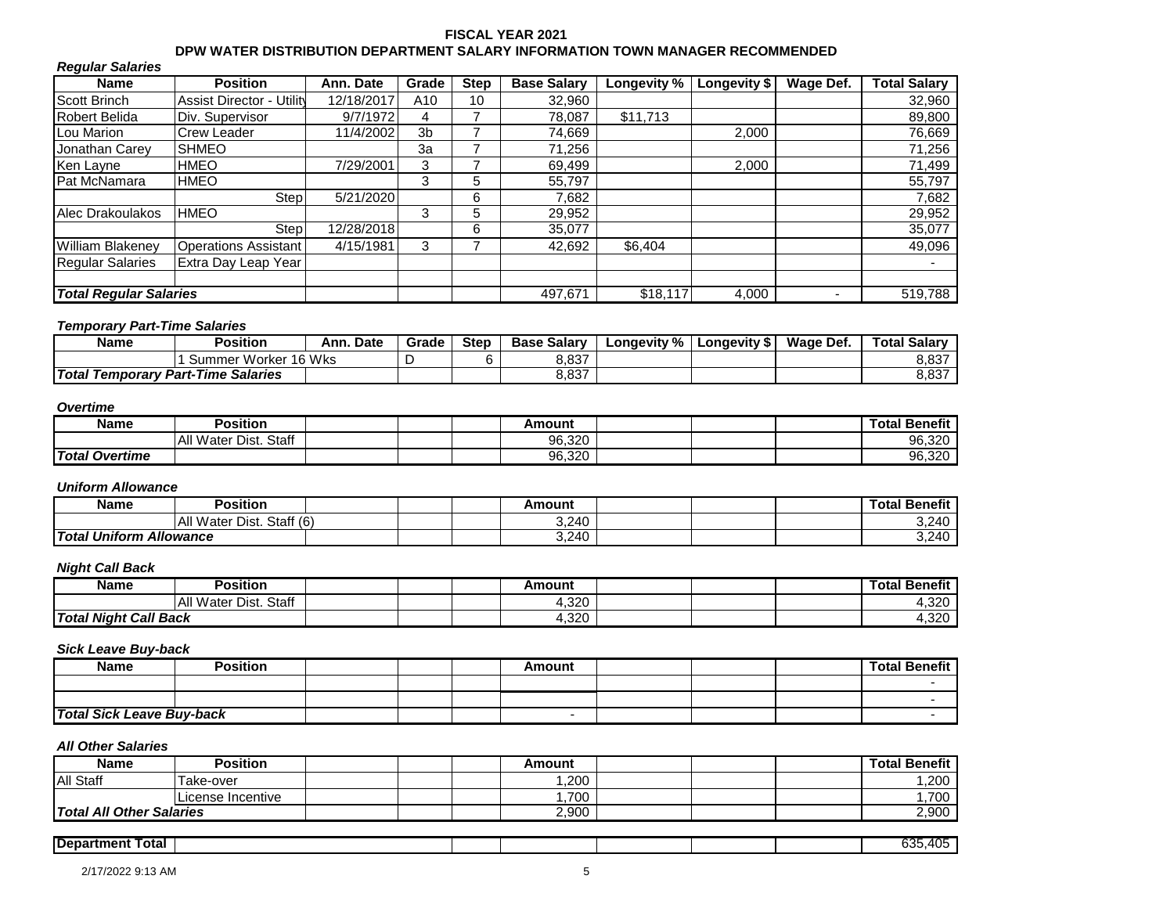### **FISCAL YEAR 2021 DPW WATER DISTRIBUTION DEPARTMENT SALARY INFORMATION TOWN MANAGER RECOMMENDED**

# *Regular Salaries* **Name Position Ann. Date Grade Step Base Salary Longevity % Longevity \$ Wage Def. Total Salary** Scott Brinch Assist Director - Utility 12/18/2017 A10 10 32,960 32,960 32,960 32,960 32,960 32,960 32,960 32,960 32,960 32,960 32,960 32,960 32,960 32,960 32,960 32,960 32,960 32,960 32,960 32,960 32,960 32,960 32,960 32,9 Robert Belida |Div. Supervisor | 9/7/1972 | 4 | 7 | 78,087 | \$11,713 | | 89,800 Lou Marion Crew Leader 11/4/2002 3b 7 74,669 2,000 76,669 Jonathan Carey SHMEO 3a 7 71,256 71,256 Ken Layne |HMEO | 7/29/2001| 3 | 7 | 69,499 | | 2,000 | | 71,499 Pat McNamara HMEO 3 5 55,797 55,797 Step 5/21/2020 6 7,682 7,682 Alec Drakoulakos HMEO 3 5 29,952 29,952 29,952 29,952 29,952 29,952 29,952 29,952 29,952 29,952 29,952 29,952 29,952 29,952 29,952 29,952 29,952 29,952 29,952 29,952 29,952 29,952 29,952 29,952 29,952 29,952 29,952 29,952 Step 12/28/2018 6 35,077 35,077 William Blakeney | Operations Assistant | 4/15/1981 3 | 7 | 42,692 | \$6,404 | | | | | | | | | | | | | | | | | | Regular Salaries Extra Day Leap Year - **Total Regular Salaries Absolut According to the ASS 19.111** 497,671 **4** 519,781 519,788

#### *Temporary Part-Time Salaries*

| Name                                      | Position                | Ann. Date | Grade | <b>Step</b> | <b>Base Salarv</b> | Longevity % | <b>Longevity S</b> | Wage Def. | <b>Total Salarv</b> |
|-------------------------------------------|-------------------------|-----------|-------|-------------|--------------------|-------------|--------------------|-----------|---------------------|
|                                           | Worker 16 Wks<br>Summer |           |       |             | 8,837              |             |                    |           | 8,837               |
| <b>Total Temporary Part-Time Salaries</b> |                         |           |       | 8,837       |                    |             |                    | 8,837     |                     |

#### *Overtime*

| Name                  | Position                       |  | Amount |  | <b>Total Benefit</b> |
|-----------------------|--------------------------------|--|--------|--|----------------------|
|                       | Staff<br>Dist.<br>Water.<br>Al |  | 96,320 |  | 96,320               |
| <b>Total Overtime</b> |                                |  | 96,320 |  | 96,320               |

### *Uniform Allowance*

| <b>Name</b>          | <b>Position</b>                         |  | Amount |  | <b>Benefit</b><br>Гоtal |
|----------------------|-----------------------------------------|--|--------|--|-------------------------|
|                      | Staff (6)<br>⊟All V<br>Dist.<br>Water i |  | 3,240  |  | 3,240                   |
| <b>Total Uniform</b> | <b>Allowance</b>                        |  | 3,240  |  | 3,240                   |

#### *Night Call Back*

| Name                         | Position                            |  | Amount       |  | <b>Benefit</b><br><b>Fotal</b> |
|------------------------------|-------------------------------------|--|--------------|--|--------------------------------|
|                              | Staff<br>⊣All W<br>· Dist.<br>Water |  | റററ<br>1.3ZU |  | .320<br><u>. </u>              |
| <b>Total Night Call Back</b> |                                     |  | 4,320        |  | .320<br><u>. </u>              |

#### *Sick Leave Buy-back*

| <b>Name</b>                      | Position |  | Amount |  | <b>Total Benefit</b> |
|----------------------------------|----------|--|--------|--|----------------------|
|                                  |          |  |        |  |                      |
|                                  |          |  |        |  |                      |
| <b>Total Sick Leave Buy-back</b> |          |  |        |  |                      |

| Name                     | <b>Position</b>   | Amount | <b>Total Benefit</b> |
|--------------------------|-------------------|--------|----------------------|
| All Staff                | Take-over         | .200   | ,200                 |
|                          | License Incentive | .700   | .700                 |
| Total All Other Salaries |                   | 2.900  | 2,900                |

| <b>Department</b><br>⊺otal |  |  |  | $\overline{ }$<br>$\cdot$<br>ェい |
|----------------------------|--|--|--|---------------------------------|
|                            |  |  |  |                                 |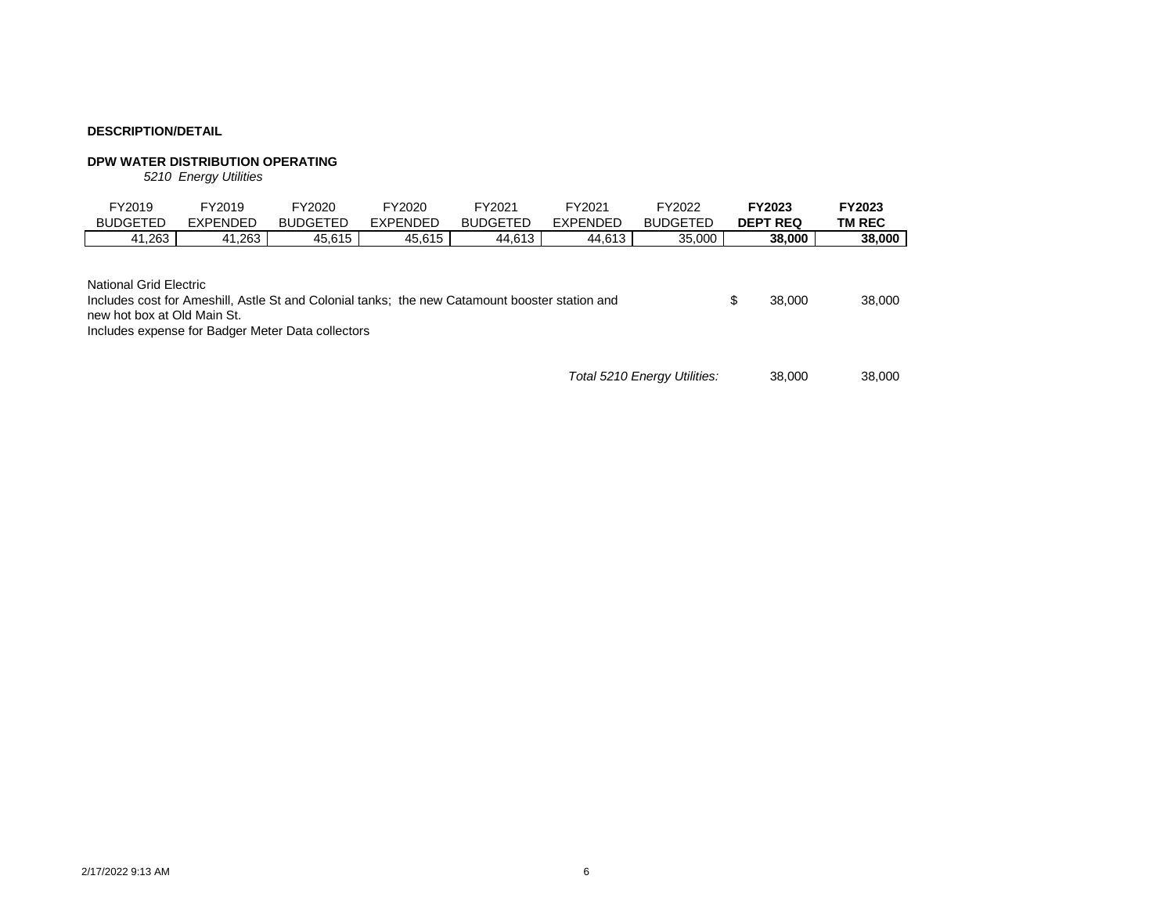# **DPW WATER DISTRIBUTION OPERATING**

*5210 Energy Utilities*

| FY2019                                                | FY2019                                            | FY2020          | FY2020          | FY2021                                                                                         | FY2021          | FY2022                       | FY2023          | <b>FY2023</b> |
|-------------------------------------------------------|---------------------------------------------------|-----------------|-----------------|------------------------------------------------------------------------------------------------|-----------------|------------------------------|-----------------|---------------|
| <b>BUDGETED</b>                                       | EXPENDED                                          | <b>BUDGETED</b> | <b>EXPENDED</b> | <b>BUDGETED</b>                                                                                | <b>EXPENDED</b> | <b>BUDGETED</b>              | <b>DEPT REQ</b> | <b>TM REC</b> |
| 41,263                                                | 41,263                                            | 45,615          | 45,615          | 44,613                                                                                         | 44,613          | 35,000                       | 38,000          | 38,000        |
| National Grid Electric<br>new hot box at Old Main St. | Includes expense for Badger Meter Data collectors |                 |                 | Includes cost for Ameshill, Astle St and Colonial tanks; the new Catamount booster station and |                 |                              | \$<br>38,000    | 38,000        |
|                                                       |                                                   |                 |                 |                                                                                                |                 | Total 5210 Energy Utilities: | 38,000          | 38,000        |

2/17/2022 9:13 AM 6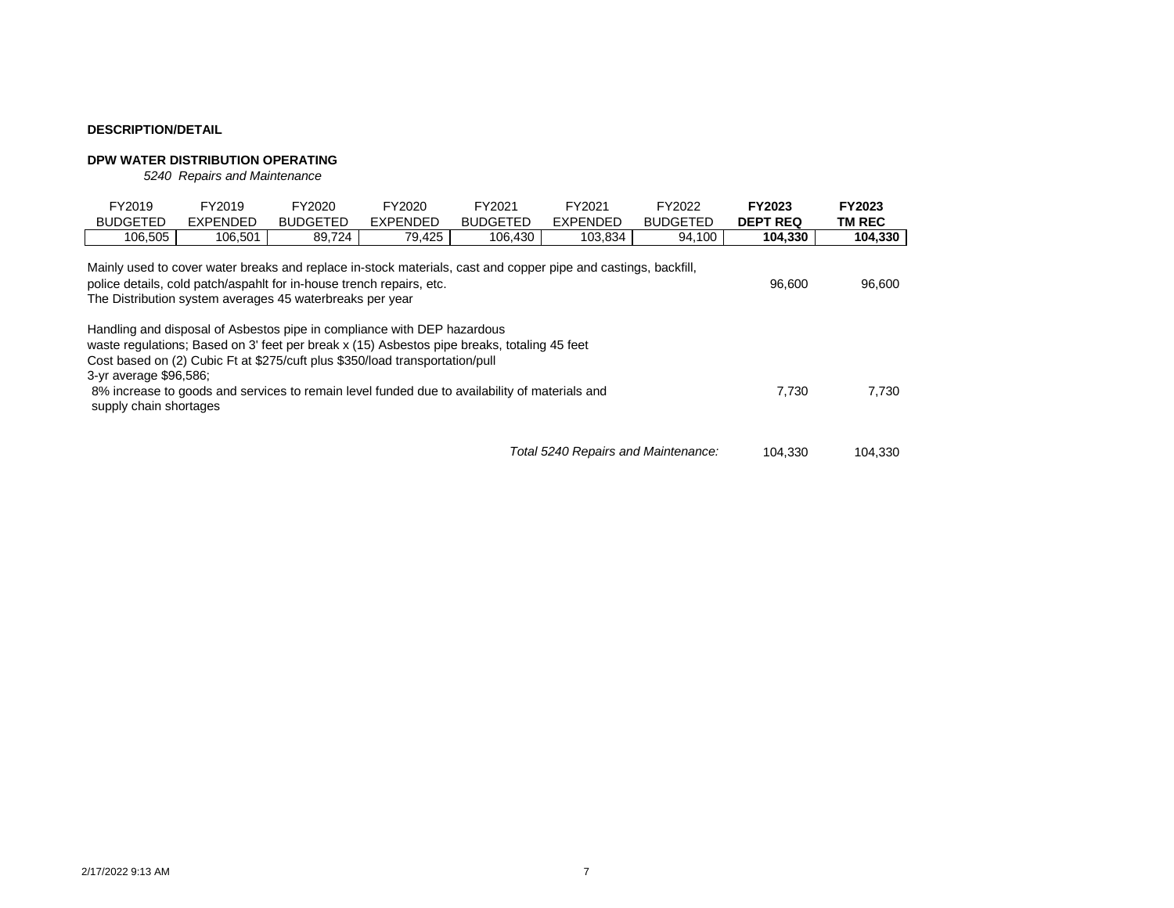# **DPW WATER DISTRIBUTION OPERATING**

*5240 Repairs and Maintenance*

| FY2019<br><b>BUDGETED</b>                                                                                                                                                                                                                                                                                                               | FY2019<br>EXPENDED | FY2020<br><b>BUDGETED</b> | FY2020<br>EXPENDED | FY2021<br><b>BUDGETED</b> | FY2021<br><b>EXPENDED</b>           | FY2022<br><b>BUDGETED</b> | <b>FY2023</b><br><b>DEPT REQ</b> | <b>FY2023</b><br>TM REC |  |  |
|-----------------------------------------------------------------------------------------------------------------------------------------------------------------------------------------------------------------------------------------------------------------------------------------------------------------------------------------|--------------------|---------------------------|--------------------|---------------------------|-------------------------------------|---------------------------|----------------------------------|-------------------------|--|--|
| 106,505                                                                                                                                                                                                                                                                                                                                 | 106,501            | 89,724                    | 79,425             | 106,430                   | 103,834                             | 94,100                    | 104.330                          | 104,330                 |  |  |
| Mainly used to cover water breaks and replace in-stock materials, cast and copper pipe and castings, backfill,<br>police details, cold patch/aspahlt for in-house trench repairs, etc.<br>96.600<br>The Distribution system averages 45 waterbreaks per year<br>Handling and disposal of Asbestos pipe in compliance with DEP hazardous |                    |                           |                    |                           |                                     |                           |                                  |                         |  |  |
| waste regulations; Based on 3' feet per break x (15) Asbestos pipe breaks, totaling 45 feet<br>Cost based on (2) Cubic Ft at \$275/cuft plus \$350/load transportation/pull                                                                                                                                                             |                    |                           |                    |                           |                                     |                           |                                  |                         |  |  |
| 3-yr average \$96,586;<br>8% increase to goods and services to remain level funded due to availability of materials and<br>supply chain shortages                                                                                                                                                                                       |                    |                           |                    |                           |                                     |                           |                                  | 7,730                   |  |  |
|                                                                                                                                                                                                                                                                                                                                         |                    |                           |                    |                           | Total 5240 Repairs and Maintenance: |                           | 104.330                          | 104.330                 |  |  |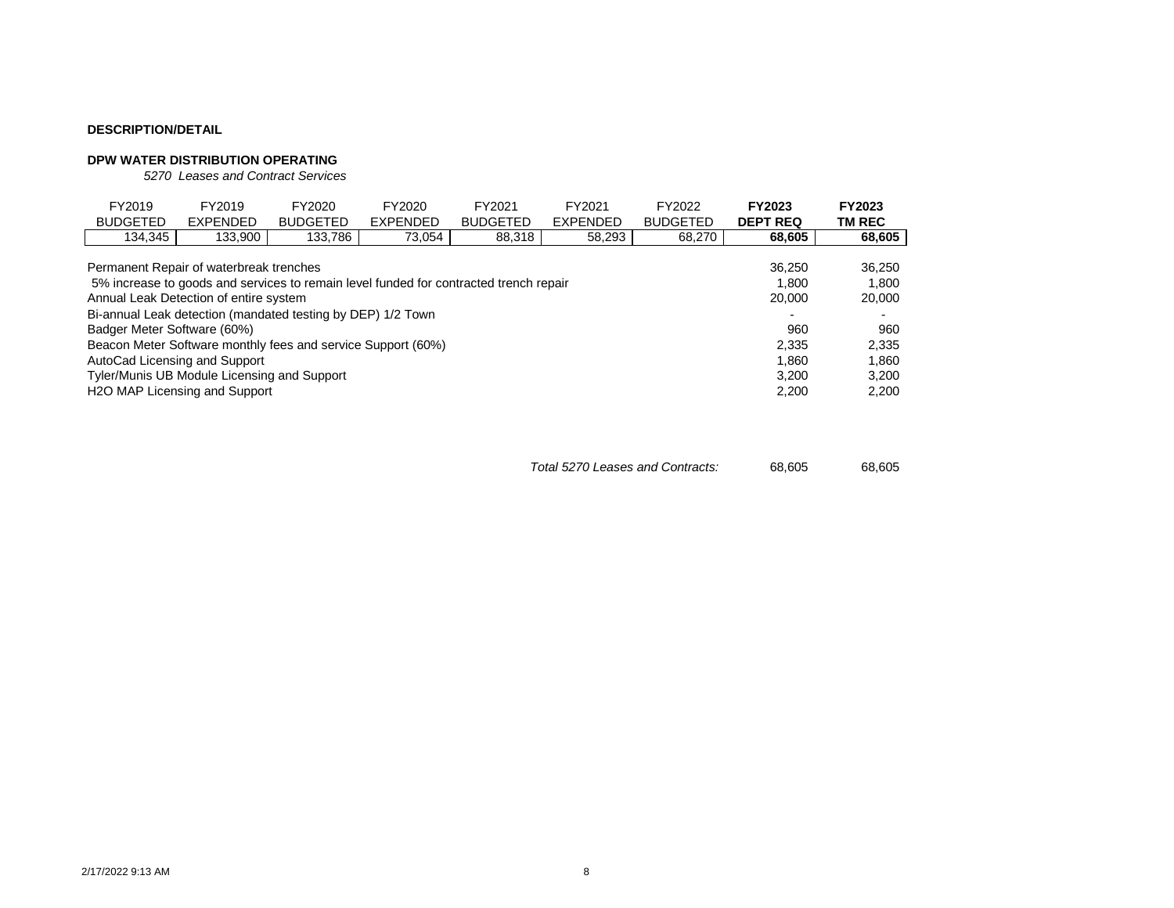# **DPW WATER DISTRIBUTION OPERATING**

*5270 Leases and Contract Services*

| FY2019<br><b>BUDGETED</b>   | FY2019<br><b>EXPENDED</b>                                                                                                                                                                                                                                                                                                                                                                                                               | FY2020<br><b>BUDGETED</b> | FY2020<br><b>EXPENDED</b> | FY2021<br><b>BUDGETED</b> | FY2021<br><b>EXPENDED</b> | FY2022<br><b>BUDGETED</b> | <b>FY2023</b><br><b>DEPT REQ</b>                                     | <b>FY2023</b><br>TM REC                                              |
|-----------------------------|-----------------------------------------------------------------------------------------------------------------------------------------------------------------------------------------------------------------------------------------------------------------------------------------------------------------------------------------------------------------------------------------------------------------------------------------|---------------------------|---------------------------|---------------------------|---------------------------|---------------------------|----------------------------------------------------------------------|----------------------------------------------------------------------|
| 134,345                     | 133,900                                                                                                                                                                                                                                                                                                                                                                                                                                 | 133,786                   | 73,054                    | 88,318                    | 58,293                    | 68,270                    | 68,605                                                               | 68,605                                                               |
| Badger Meter Software (60%) | Permanent Repair of waterbreak trenches<br>5% increase to goods and services to remain level funded for contracted trench repair<br>Annual Leak Detection of entire system<br>Bi-annual Leak detection (mandated testing by DEP) 1/2 Town<br>Beacon Meter Software monthly fees and service Support (60%)<br>AutoCad Licensing and Support<br>Tyler/Munis UB Module Licensing and Support<br>H <sub>2</sub> O MAP Licensing and Support |                           |                           |                           |                           |                           | 36,250<br>1.800<br>20,000<br>960<br>2.335<br>1.860<br>3.200<br>2,200 | 36,250<br>1.800<br>20,000<br>960<br>2,335<br>1,860<br>3.200<br>2,200 |

*Total 5270 Leases and Contracts:* 68,605 68,605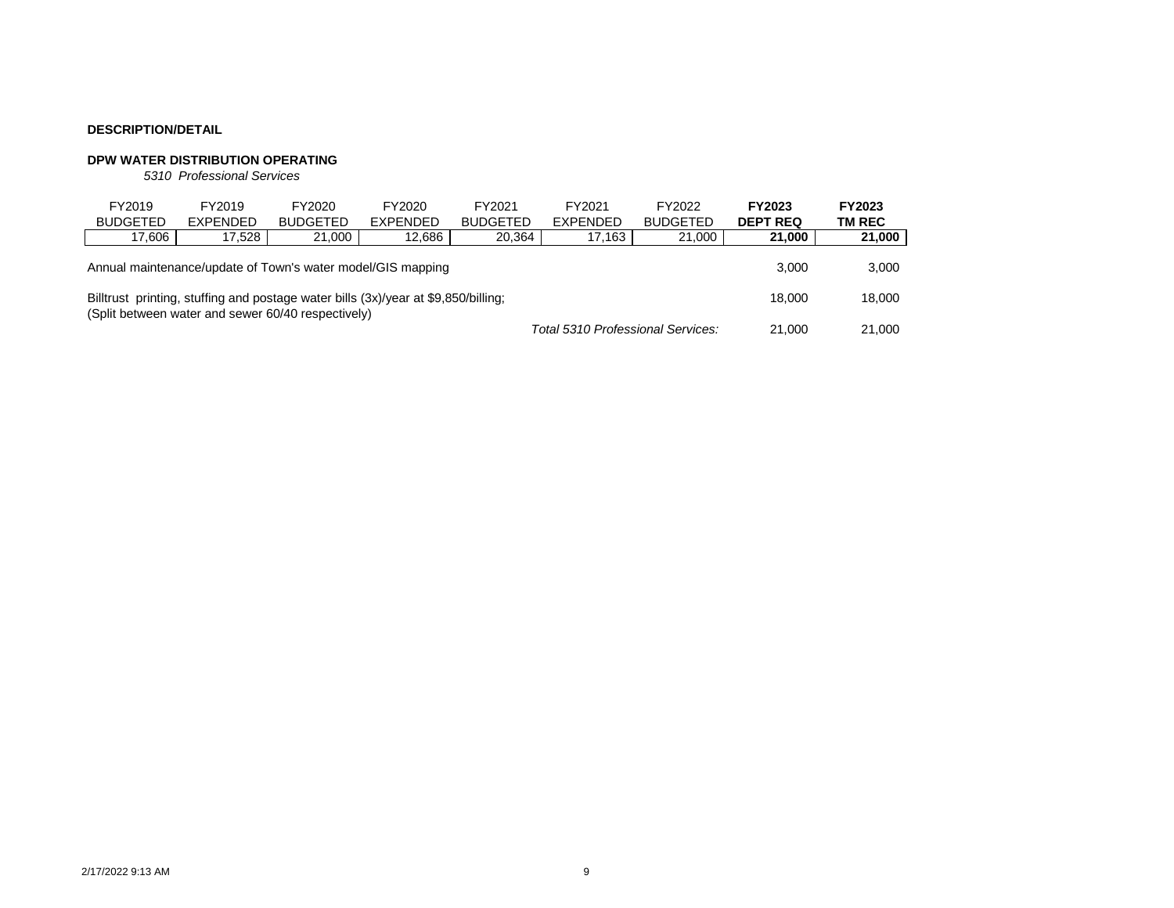# **DPW WATER DISTRIBUTION OPERATING**

*5310 Professional Services*

| FY2019<br><b>BUDGETED</b>                                                                                                                | FY2019<br>EXPENDED | FY2020<br><b>BUDGETED</b> | FY2020<br><b>EXPENDED</b> | FY2021<br><b>BUDGETED</b> | FY2021<br><b>EXPENDED</b> | FY2022<br><b>BUDGETED</b> | FY2023<br><b>DEPT REQ</b> | <b>FY2023</b><br>TM REC |
|------------------------------------------------------------------------------------------------------------------------------------------|--------------------|---------------------------|---------------------------|---------------------------|---------------------------|---------------------------|---------------------------|-------------------------|
| 17,606                                                                                                                                   | 17.528             | 21.000                    | 12.686                    | 20.364                    | 17.163                    | 21.000                    | 21,000                    | 21,000                  |
| Annual maintenance/update of Town's water model/GIS mapping<br>3.000                                                                     |                    |                           |                           |                           |                           |                           |                           |                         |
| Billtrust printing, stuffing and postage water bills (3x)/year at \$9,850/billing;<br>(Split between water and sewer 60/40 respectively) |                    |                           |                           |                           |                           |                           |                           | 18.000                  |
| Total 5310 Professional Services:                                                                                                        |                    |                           |                           |                           |                           |                           | 21,000                    | 21,000                  |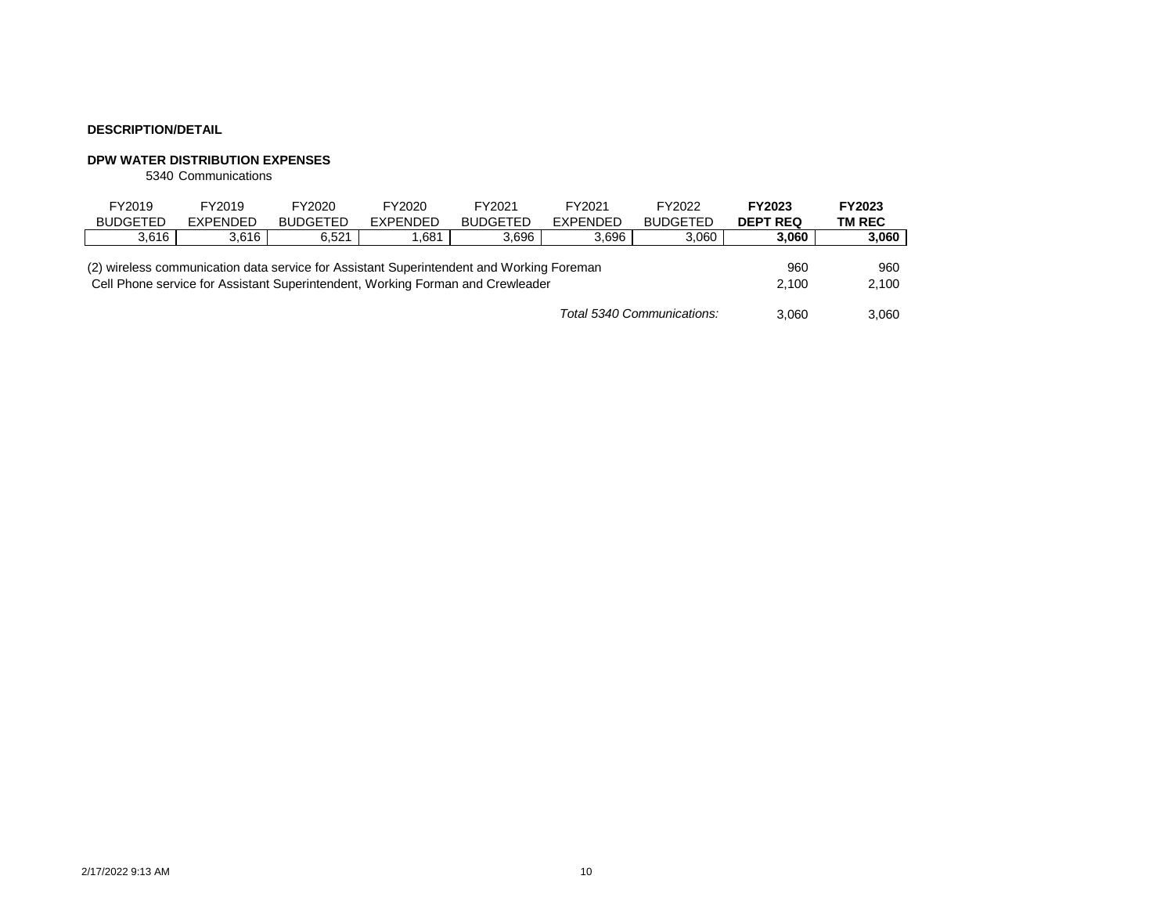## **DPW WATER DISTRIBUTION EXPENSES**

5340 Communications

| FY2019                                                                                   | FY2019   | FY2020          | FY2020          | FY2021          | FY2021          | FY2022          | FY2023          | FY2023        |
|------------------------------------------------------------------------------------------|----------|-----------------|-----------------|-----------------|-----------------|-----------------|-----------------|---------------|
| <b>BUDGETED</b>                                                                          | EXPENDED | <b>BUDGETED</b> | <b>EXPENDED</b> | <b>BUDGETED</b> | <b>FXPENDED</b> | <b>BUDGETED</b> | <b>DEPT REQ</b> | <b>TM REC</b> |
| 3.616                                                                                    | 3.616    | 6.521           | .681            | 3.696           | 3.696           | 3,060           | 3,060           | 3,060         |
| (2) wireless communication data service for Assistant Superintendent and Working Foreman |          |                 |                 |                 |                 |                 |                 | 960           |
| Cell Phone service for Assistant Superintendent, Working Forman and Crewleader           |          |                 |                 |                 |                 |                 |                 | 2,100         |
| Total 5340 Communications:                                                               |          |                 |                 |                 |                 |                 |                 | 3.060         |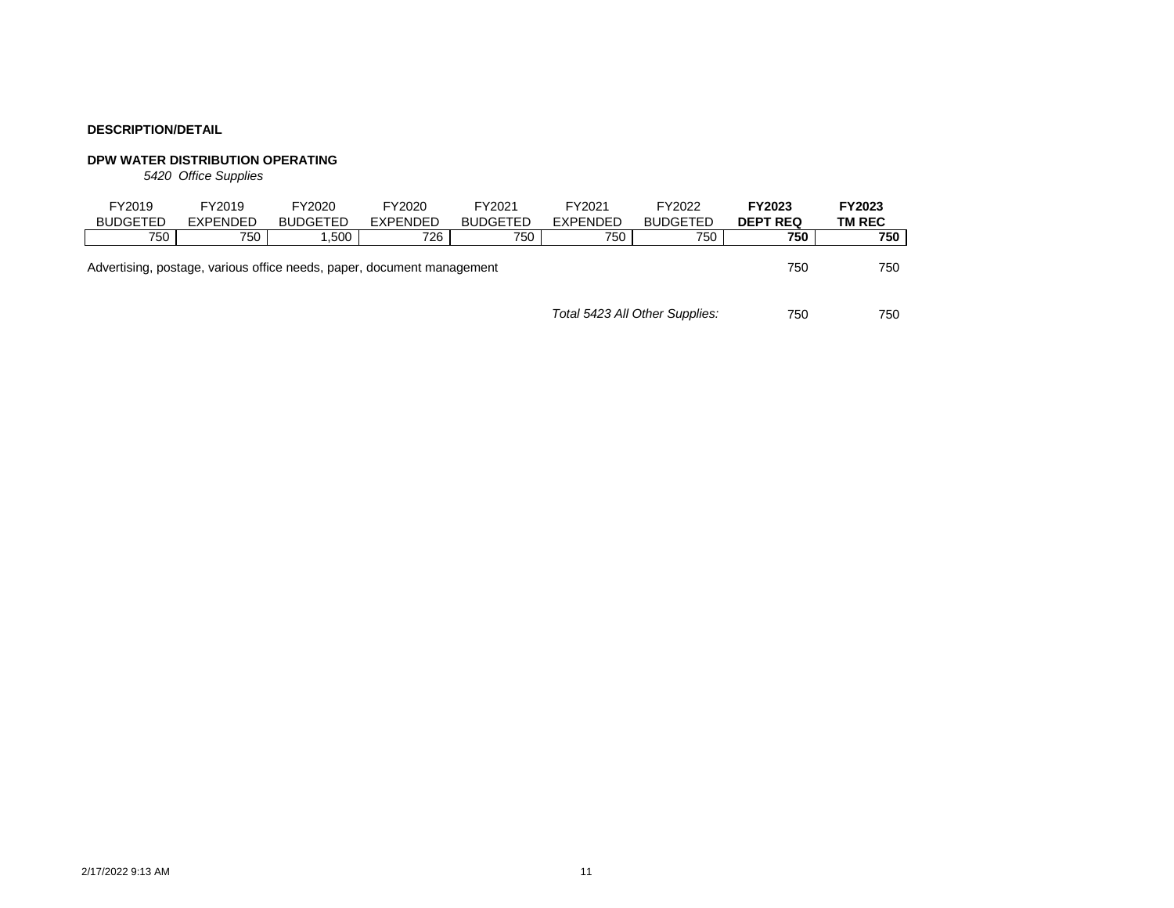# **DPW WATER DISTRIBUTION OPERATING**

*5420 Office Supplies*

| FY2019<br><b>BUDGETED</b>                                              | FY2019<br><b>EXPENDED</b> | FY2020<br><b>BUDGETED</b> | FY2020<br><b>EXPENDED</b> | FY2021<br><b>BUDGETED</b> | FY2021<br><b>EXPENDED</b> | FY2022<br><b>BUDGETED</b> | <b>FY2023</b><br><b>DEPT REQ</b> | <b>FY2023</b><br><b>TM REC</b> |
|------------------------------------------------------------------------|---------------------------|---------------------------|---------------------------|---------------------------|---------------------------|---------------------------|----------------------------------|--------------------------------|
| 750                                                                    | 750                       | .500                      | 726                       | 750                       | 750                       | 750                       | 750                              | 750                            |
| Advertising, postage, various office needs, paper, document management |                           |                           |                           |                           |                           |                           |                                  | 750                            |
|                                                                        | 750                       | 750                       |                           |                           |                           |                           |                                  |                                |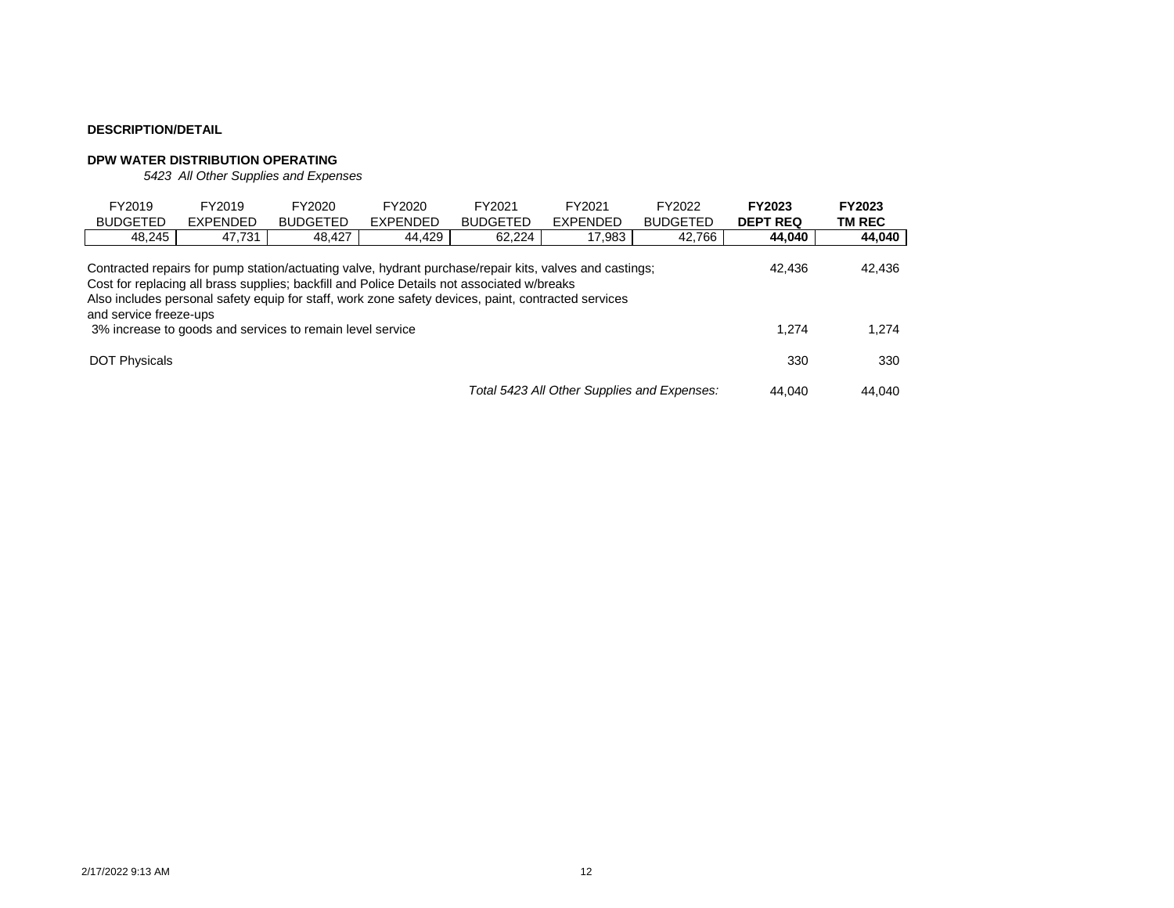# **DPW WATER DISTRIBUTION OPERATING**

*5423 All Other Supplies and Expenses*

| FY2019<br><b>BUDGETED</b>                                                                                                                                                                                                                                                                                                                                                                                     | FY2019<br><b>EXPENDED</b> | FY2020<br><b>BUDGETED</b> | FY2020<br><b>EXPENDED</b> | FY2021<br><b>BUDGETED</b> | FY2021<br><b>EXPENDED</b>                   | FY2022<br><b>BUDGETED</b> | FY2023<br><b>DEPT REQ</b> | FY2023<br><b>TM REC</b> |  |  |
|---------------------------------------------------------------------------------------------------------------------------------------------------------------------------------------------------------------------------------------------------------------------------------------------------------------------------------------------------------------------------------------------------------------|---------------------------|---------------------------|---------------------------|---------------------------|---------------------------------------------|---------------------------|---------------------------|-------------------------|--|--|
| 48,245                                                                                                                                                                                                                                                                                                                                                                                                        | 47,731                    | 48,427                    | 44.429                    | 62,224                    | 17,983                                      | 42,766                    | 44,040                    | 44,040                  |  |  |
| Contracted repairs for pump station/actuating valve, hydrant purchase/repair kits, valves and castings;<br>42.436<br>Cost for replacing all brass supplies; backfill and Police Details not associated w/breaks<br>Also includes personal safety equip for staff, work zone safety devices, paint, contracted services<br>and service freeze-ups<br>3% increase to goods and services to remain level service |                           |                           |                           |                           |                                             |                           |                           |                         |  |  |
|                                                                                                                                                                                                                                                                                                                                                                                                               |                           |                           |                           |                           |                                             |                           | 1.274                     | 1,274                   |  |  |
| <b>DOT Physicals</b>                                                                                                                                                                                                                                                                                                                                                                                          |                           |                           |                           |                           |                                             |                           | 330                       | 330                     |  |  |
|                                                                                                                                                                                                                                                                                                                                                                                                               |                           |                           |                           |                           | Total 5423 All Other Supplies and Expenses: |                           | 44.040                    | 44.040                  |  |  |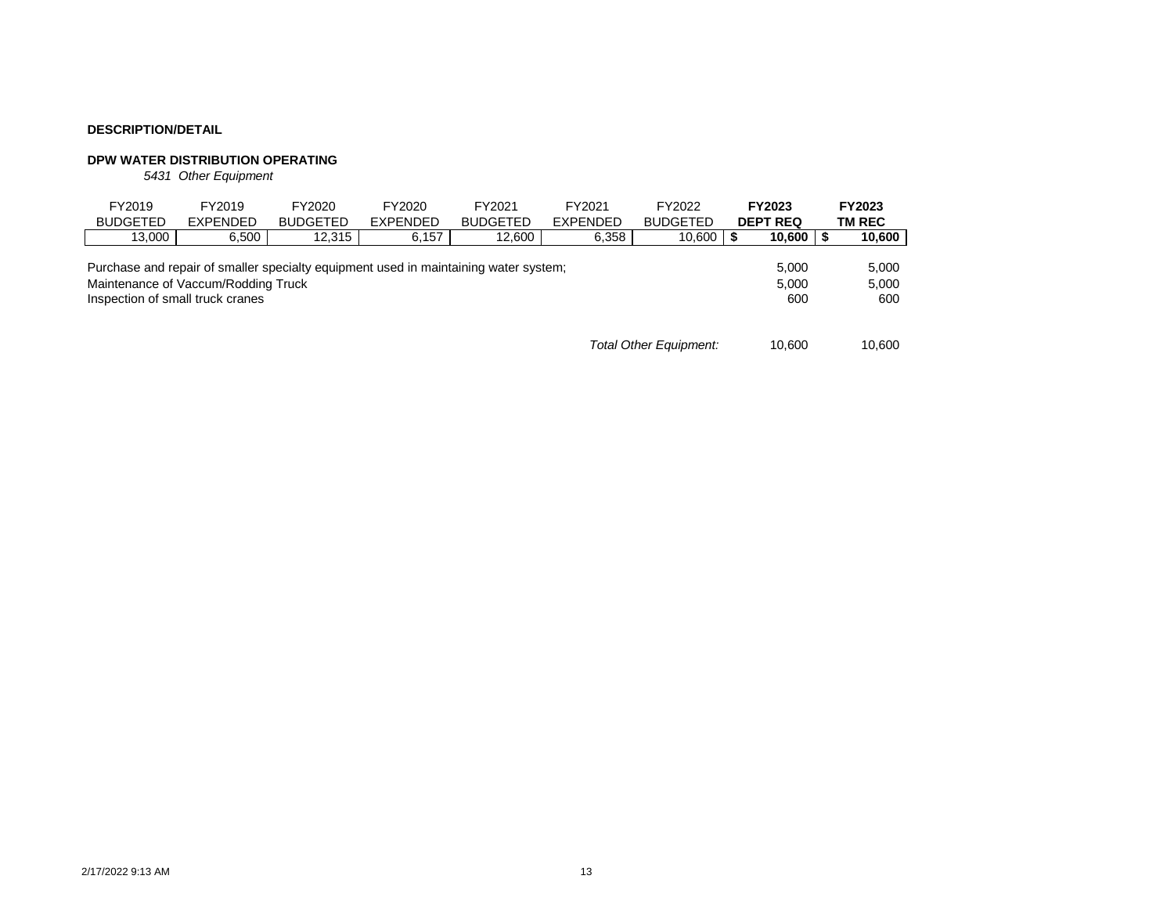# **DPW WATER DISTRIBUTION OPERATING**

*5431 Other Equipment*

| FY2019<br><b>BUDGETED</b>                                                                                                                                       | FY2019<br><b>EXPENDED</b> | FY2020<br><b>BUDGETED</b> | FY2020<br>EXPENDED | FY2021<br><b>BUDGETED</b> | FY2021<br><b>EXPENDED</b> | FY2022<br><b>BUDGETED</b> | FY2023<br><b>DEPT REQ</b> | FY2023<br><b>TM REC</b> |
|-----------------------------------------------------------------------------------------------------------------------------------------------------------------|---------------------------|---------------------------|--------------------|---------------------------|---------------------------|---------------------------|---------------------------|-------------------------|
| 13.000                                                                                                                                                          | 6,500                     | 12.315                    | 6.157              | $12,600$ 1                | 6,358                     | 10,600                    | 10,600                    | 10,600                  |
| Purchase and repair of smaller specialty equipment used in maintaining water system;<br>Maintenance of Vaccum/Rodding Truck<br>Inspection of small truck cranes |                           |                           |                    |                           |                           |                           | 5.000<br>5.000<br>600     | 5.000<br>5.000<br>600   |

*Total Other Equipment:* 10,600 10,600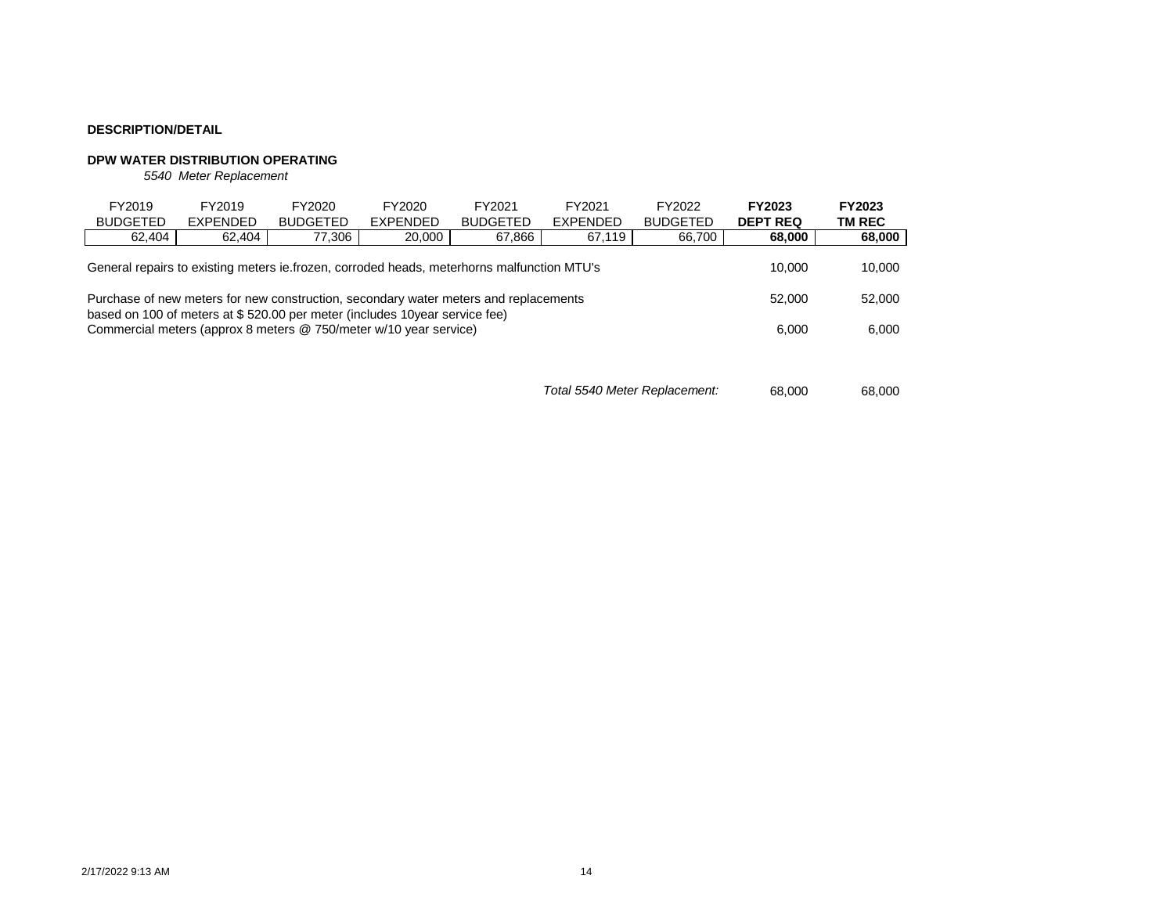# **DPW WATER DISTRIBUTION OPERATING**

*5540 Meter Replacement*

| FY2019<br><b>BUDGETED</b>                                                                                                                                                                                                                                   | FY2019<br><b>EXPENDED</b> | FY2020<br><b>BUDGETED</b> | FY2020<br><b>EXPENDED</b> | FY2021<br><b>BUDGETED</b> | FY2021<br><b>EXPENDED</b> | FY2022<br><b>BUDGETED</b> | <b>FY2023</b><br><b>DEPT REQ</b> | FY2023<br><b>TM REC</b> |  |
|-------------------------------------------------------------------------------------------------------------------------------------------------------------------------------------------------------------------------------------------------------------|---------------------------|---------------------------|---------------------------|---------------------------|---------------------------|---------------------------|----------------------------------|-------------------------|--|
| 62,404                                                                                                                                                                                                                                                      | 62,404                    | 77,306                    | 20,000                    | 67,866                    | 67.119                    | 66,700                    | 68,000                           | 68,000                  |  |
| General repairs to existing meters ie. frozen, corroded heads, meterhorns malfunction MTU's                                                                                                                                                                 |                           |                           |                           |                           |                           |                           |                                  | 10.000<br>52,000        |  |
| Purchase of new meters for new construction, secondary water meters and replacements<br>52,000<br>based on 100 of meters at \$520.00 per meter (includes 10 year service fee)<br>Commercial meters (approx 8 meters @ 750/meter w/10 year service)<br>6.000 |                           |                           |                           |                           |                           |                           |                                  |                         |  |

*Total 5540 Meter Replacement:* 68,000 68,000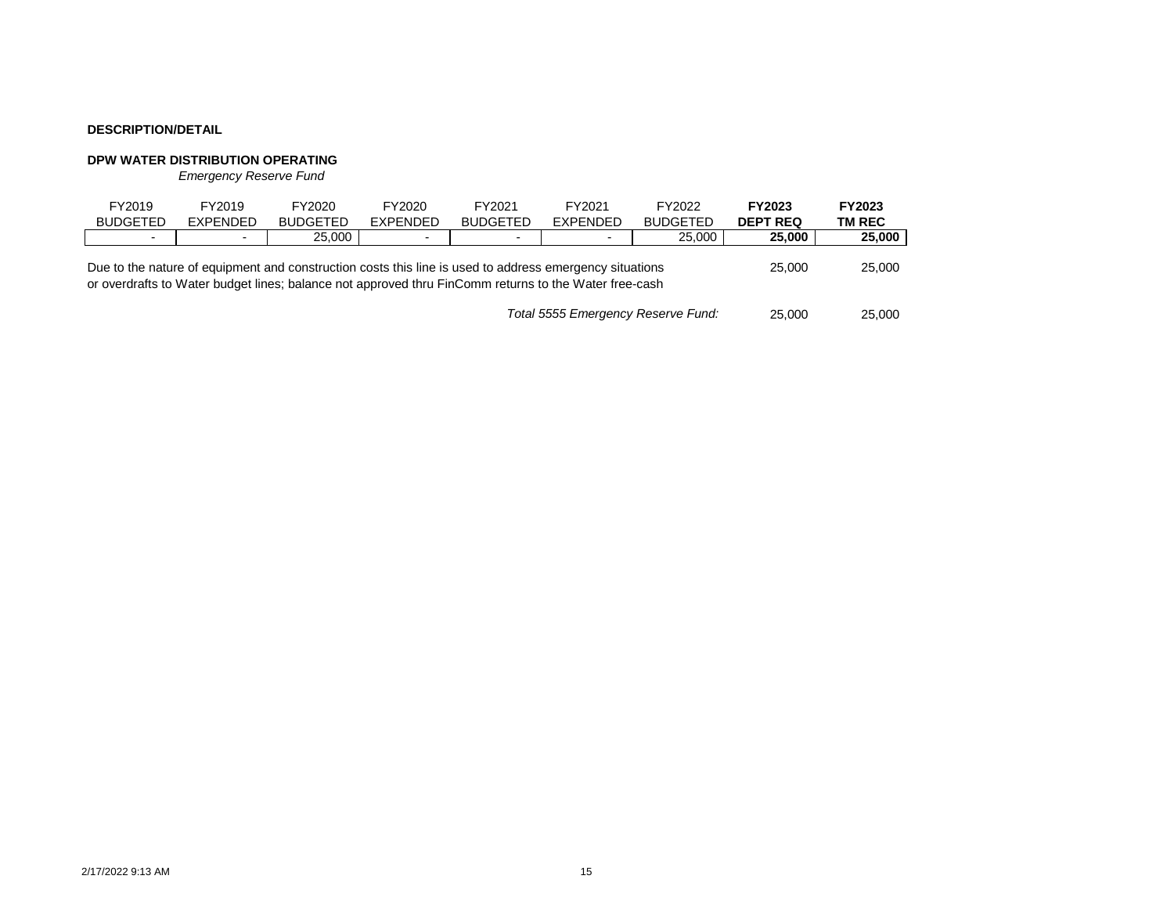# **DPW WATER DISTRIBUTION OPERATING**

*Emergency Reserve Fund*

| FY2019<br><b>BUDGETED</b> | FY2019<br><b>EXPENDED</b> | FY2020<br><b>BUDGETED</b>                                                                                                                                                                                        | FY2020<br><b>EXPENDED</b> | FY2021<br><b>BUDGETED</b> | FY2021<br><b>EXPENDED</b> | FY2022<br><b>BUDGETED</b> | <b>FY2023</b><br><b>DEPT REQ</b> | <b>FY2023</b><br><b>TM REC</b> |
|---------------------------|---------------------------|------------------------------------------------------------------------------------------------------------------------------------------------------------------------------------------------------------------|---------------------------|---------------------------|---------------------------|---------------------------|----------------------------------|--------------------------------|
| $\overline{\phantom{a}}$  | $\blacksquare$            | 25,000                                                                                                                                                                                                           | $\overline{\phantom{0}}$  | $\overline{\phantom{0}}$  | $\blacksquare$            | 25,000                    | 25.000                           | 25,000                         |
|                           |                           | Due to the nature of equipment and construction costs this line is used to address emergency situations<br>or overdrafts to Water budget lines; balance not approved thru FinComm returns to the Water free-cash |                           |                           |                           |                           | 25,000                           | 25,000                         |
|                           | 25,000                    | 25,000                                                                                                                                                                                                           |                           |                           |                           |                           |                                  |                                |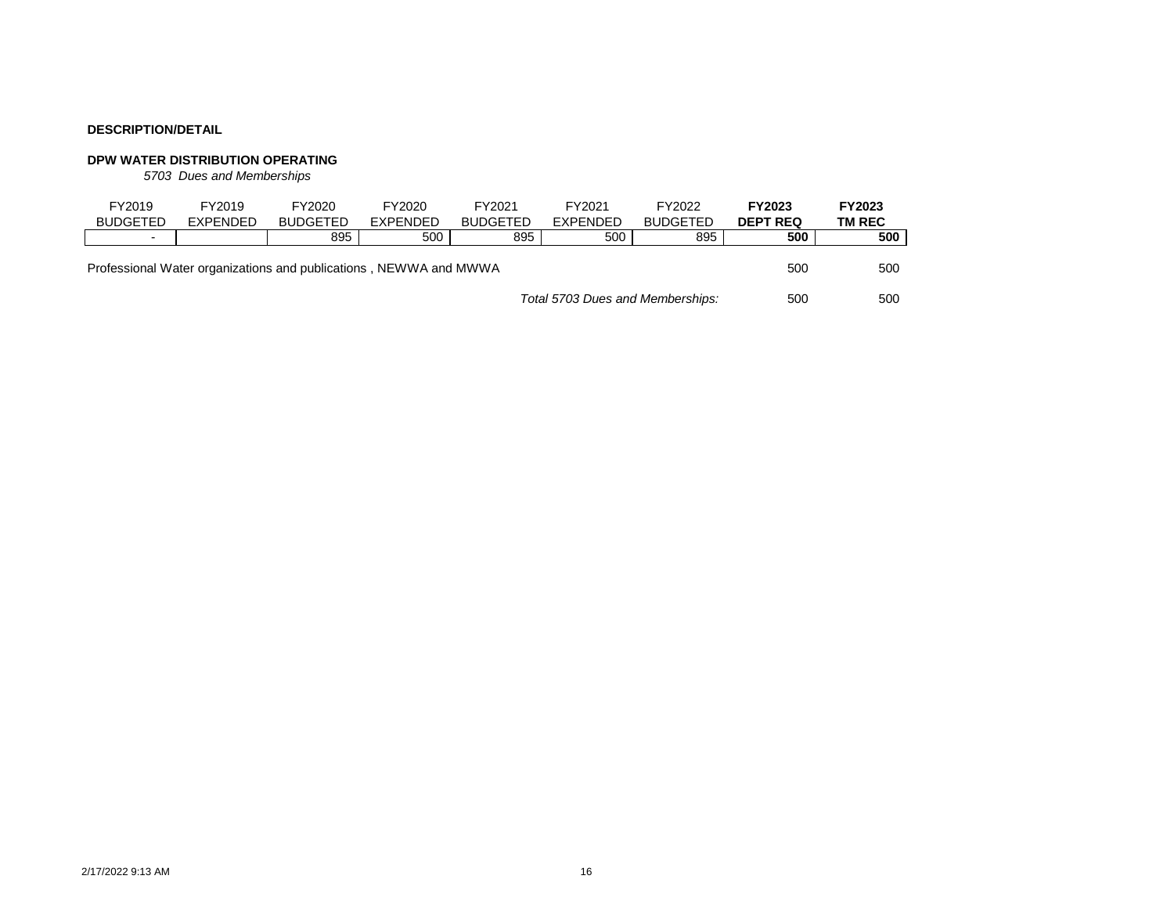# **DPW WATER DISTRIBUTION OPERATING**

*5703 Dues and Memberships*

| FY2019          | FY2019          | FY2020                                                            | FY2020   | FY2021          | FY2021          | FY2022          | FY2023          | FY2023 |
|-----------------|-----------------|-------------------------------------------------------------------|----------|-----------------|-----------------|-----------------|-----------------|--------|
| <b>BUDGETED</b> | <b>EXPENDED</b> | <b>BUDGETED</b>                                                   | EXPENDED | <b>BUDGETED</b> | <b>EXPENDED</b> | <b>BUDGETED</b> | <b>DEPT REQ</b> | TM REC |
| $\sim$          |                 | 895                                                               | 500      | 895             | 500             | 895             | 500             | 500    |
|                 |                 |                                                                   |          |                 |                 |                 |                 |        |
|                 |                 | Professional Water organizations and publications, NEWWA and MWWA |          |                 |                 |                 | 500             | 500    |
|                 |                 |                                                                   |          |                 |                 |                 |                 |        |
|                 | 500             | 500                                                               |          |                 |                 |                 |                 |        |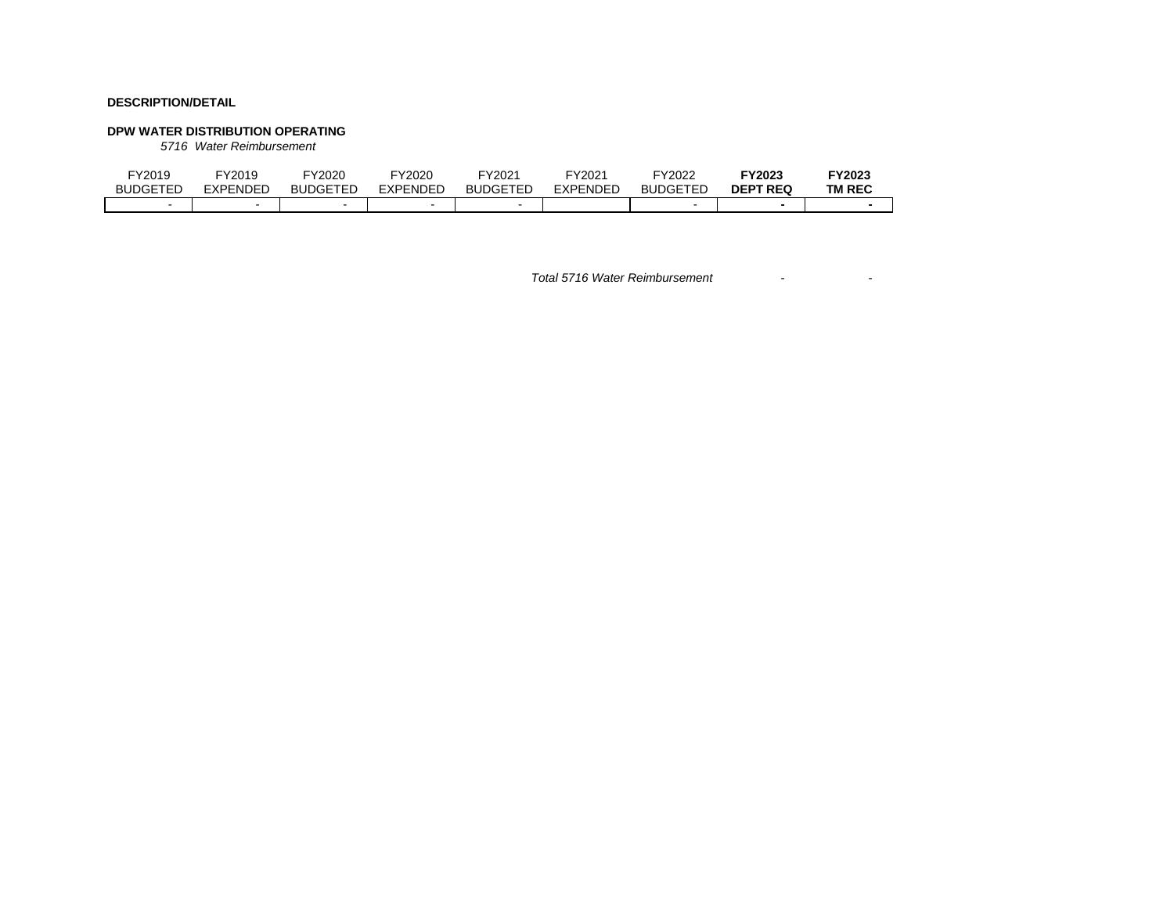#### **DPW WATER DISTRIBUTION OPERATING**

*5716 Water Reimbursement*

| FY2019          | FY2019          | <sup>-</sup> Y2020 | FY2020   | <sup>-</sup> Y2021 | FY2021   | FY2022          | <b>FY2023</b>   | <b>FY2023</b> |
|-----------------|-----------------|--------------------|----------|--------------------|----------|-----------------|-----------------|---------------|
| <b>BUDGETED</b> | <b>EXPENDED</b> | <b>BUDGETED</b>    | EXPENDED | <b>BUDGETED</b>    | EXPENDED | <b>BUDGETED</b> | <b>DEPT REQ</b> | <b>TM REC</b> |
|                 |                 |                    |          |                    |          |                 |                 |               |

*Total 5716 Water Reimbursement* - -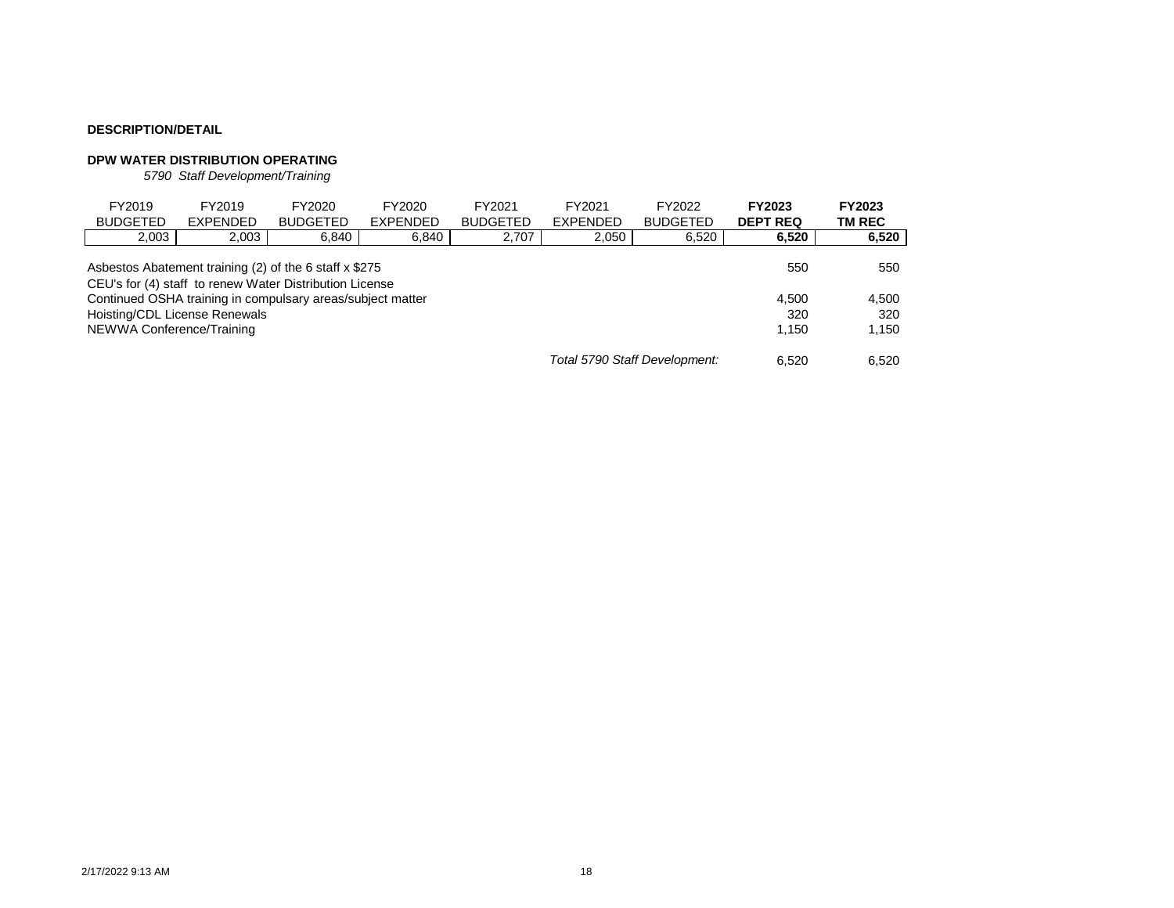# **DPW WATER DISTRIBUTION OPERATING**

*5790 Staff Development/Training*

| FY2019<br><b>BUDGETED</b>                                                                                                                                                                                        | FY2019<br><b>EXPENDED</b> | FY2020<br><b>BUDGETED</b> | FY2020<br><b>EXPENDED</b> | FY2021<br><b>BUDGETED</b> | FY2021<br><b>EXPENDED</b> | FY2022<br><b>BUDGETED</b> | <b>FY2023</b><br><b>DEPT REQ</b> | FY2023<br>TM REC    |
|------------------------------------------------------------------------------------------------------------------------------------------------------------------------------------------------------------------|---------------------------|---------------------------|---------------------------|---------------------------|---------------------------|---------------------------|----------------------------------|---------------------|
| 2,003                                                                                                                                                                                                            | 2,003                     | 6,840                     | 6,840                     | 2,707                     | 2,050                     | 6,520                     | 6,520                            | 6,520               |
| Asbestos Abatement training (2) of the 6 staff x \$275<br>CEU's for (4) staff to renew Water Distribution License<br>Continued OSHA training in compulsary areas/subject matter<br>Hoisting/CDL License Renewals |                           |                           |                           |                           |                           |                           | 550<br>4.500<br>320              | 550<br>4,500<br>320 |
| NEWWA Conference/Training                                                                                                                                                                                        |                           |                           |                           |                           |                           |                           | 1.150                            | 1.150               |
| Total 5790 Staff Development:                                                                                                                                                                                    |                           |                           |                           |                           |                           |                           |                                  | 6.520               |